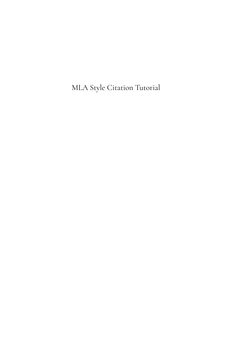MLA Style Citation Tutorial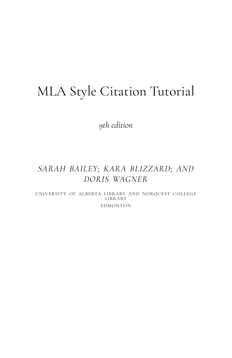## MLA Style Citation Tutorial

*9th edition* 

### *SARAH BAILEY; KARA BLIZZARD; AND DORIS WAGNER*

UNIVERSITY OF ALBERTA LIBRARY AND NORQUEST COLLEGE LIBRARY EDMONTON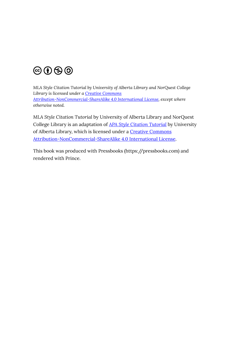

*MLA Style Citation Tutorial by University of Alberta Library and NorQuest College Library is licensed under a [Creative Commons](https://creativecommons.org/licenses/by-nc-sa/4.0/)  [Attribution-NonCommercial-ShareAlike 4.0 International License,](https://creativecommons.org/licenses/by-nc-sa/4.0/) except where otherwise noted.* 

*MLA Style Citation Tutorial* by University of Alberta Library and NorQuest College Library is an adaptation of *[APA Style Citation Tutorial](https://openeducationalberta.ca/introapatutorial7/)* by University of Alberta Library, which is licensed under a **Creative Commons** [Attribution-NonCommercial-ShareAlike 4.0 International License.](http://creativecommons.org/licenses/by-nc-sa/4.0)

This book was produced with Pressbooks (https://pressbooks.com) and rendered with Prince.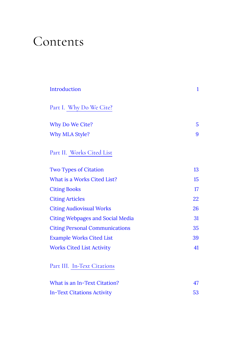## Contents

| Introduction                            | $\mathbf{1}$ |
|-----------------------------------------|--------------|
| Part I. Why Do We Cite?                 |              |
| Why Do We Cite?                         | 5            |
| Why MLA Style?                          | 9            |
| Part II. Works Cited List               |              |
| <b>Two Types of Citation</b>            | 13           |
| What is a Works Cited List?             | 15           |
| <b>Citing Books</b>                     | 17           |
| <b>Citing Articles</b>                  | 22           |
| <b>Citing Audiovisual Works</b>         | 26           |
| <b>Citing Webpages and Social Media</b> | 31           |
| <b>Citing Personal Communications</b>   | 35           |
| <b>Example Works Cited List</b>         | 39           |
| <b>Works Cited List Activity</b>        | 41           |
| Part III. In-Text Citations             |              |
| What is an In-Text Citation?            | 47           |
| <b>In-Text Citations Activity</b>       | 53           |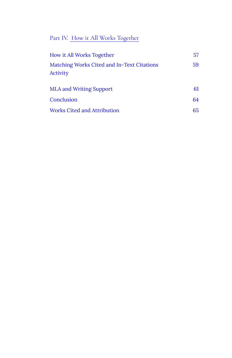#### [Part](#page-60-0) IV. [How it All Works Together](#page-60-0)

| How it All Works Together                              | 57  |
|--------------------------------------------------------|-----|
| Matching Works Cited and In-Text Citations<br>Activity | 59  |
| <b>MLA and Writing Support</b>                         | 61  |
| Conclusion                                             | 64  |
| Works Cited and Attribution                            | 65. |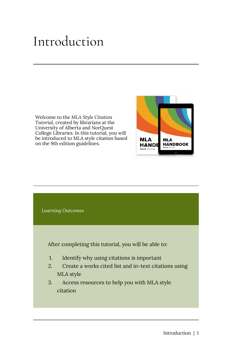## <span id="page-6-0"></span>Introduction

Welcome to the *MLA Style Citation Tutorial*, created by librarians at the University of Alberta and NorQuest College Libraries. In this tutorial, you will be introduced to MLA style citation based on the 9th edition guidelines.



**MLA** 

**HANDE** 

**MLA HANDBOOK**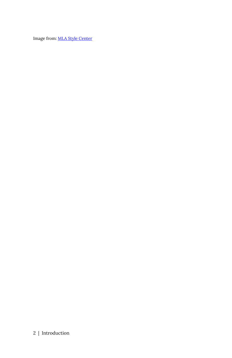Image from: [MLA Style Center](https://style.mla.org/?_ga=2.135165938.2110680470.1631027040-1401443492.1626293031) 

#### 2 | Introduction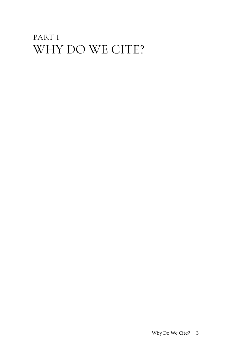## <span id="page-8-0"></span>PART I WHY DO WE CITE?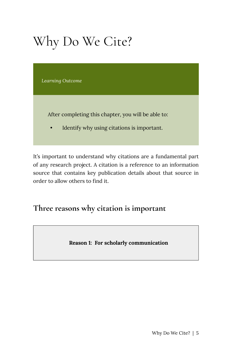# <span id="page-10-0"></span>Why Do We Cite?

*Learning Outcome* 

After completing this chapter, you will be able to:

• Identify why using citations is important.

It's important to understand why citations are a fundamental part of any research project. A citation is a reference to an information source that contains key publication details about that source in order to allow others to find it.

**Three reasons why citation is important** 

**Reason 1: For scholarly communication**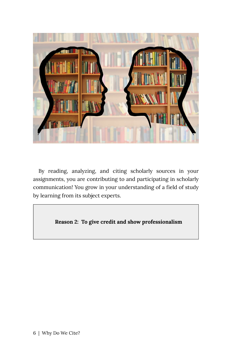

By reading, analyzing, and citing scholarly sources in your assignments, you are contributing to and participating in scholarly communication! You grow in your understanding of a field of study by learning from its subject experts.

**Reason 2: To give credit and show professionalism**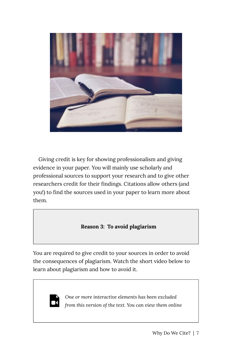

Giving credit is key for showing professionalism and giving evidence in your paper. You will mainly use scholarly and professional sources to support your research and to give other researchers credit for their findings. Citations allow others (and you!) to find the sources used in your paper to learn more about them.

#### **Reason 3: To avoid plagiarism**

You are required to give credit to your sources in order to avoid the consequences of plagiarism. Watch the short video below to learn about plagiarism and how to avoid it.



*One or more interactive elements has been excluded from this version of the text. You can view them online*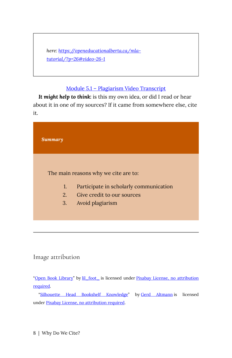*here: [https://openeducationalberta.ca/mla](https://openeducationalberta.ca/mla-tutorial/?p=26#video-26-1)[tutorial/?p=26#video-26-1](https://openeducationalberta.ca/mla-tutorial/?p=26#video-26-1)* 

#### [Module 5.1 – Plagiarism Video Transcript](https://openeducationalberta.ca/introapatutorial7/wp-content/uploads/sites/42/2020/03/Module-5.1-Plagiarism-Transcript.pdf)

*It might help to think:* is this my own idea, or did I read or hear about it in one of my sources? If it came from somewhere else, cite it.

| Summary |                                        |
|---------|----------------------------------------|
|         | The main reasons why we cite are to:   |
| 1.      | Participate in scholarly communication |
| 2.      | Give credit to our sources             |
| 3.      | Avoid plagiarism                       |
|         |                                        |

#### Image attribution

"[Open Book Library"](https://pixabay.com/photos/open-book-library-education-read-1428428/) by [lil\\_foot\\_](https://pixabay.com/users/lil_foot_-2672923/) is licensed under [Pixabay License, no attribution](https://pixabay.com/service/license/) [required](https://pixabay.com/service/license/).

"[Silhouette Head Bookshelf Knowledge"](https://pixabay.com/photos/silhouette-head-bookshelf-knowledge-1632912/) by [Gerd Altmann](https://pixabay.com/users/geralt-9301/?utm_source=link-attribution&utm_medium=referral&utm_campaign=image&utm_content=1632912) is licensed under [Pixabay License, no attribution required.](https://pixabay.com/service/license/)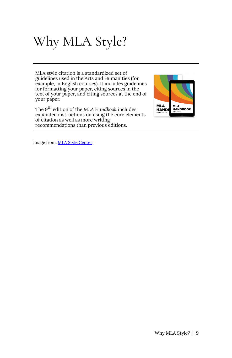# <span id="page-14-0"></span>Why MLA Style?

MLA style citation is a standardized set of guidelines used in the Arts and Humanities (for example, in English courses). It includes guidelines for formatting your paper, citing sources in the text of your paper, and citing sources at the end of your paper.

The 9<sup>th</sup> edition of the MLA Handbook includes expanded instructions on using the core elements of citation as well as more writing recommendations than previous editions.



Image from: [MLA Style Center](https://style.mla.org/?_ga=2.135165938.2110680470.1631027040-1401443492.1626293031)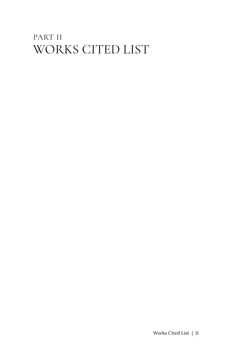## <span id="page-16-0"></span>PART II WORKS CITED LIST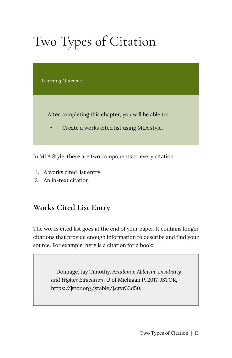# <span id="page-18-0"></span>Two Types of Citation

*Learning Outcome* 

After completing this chapter, you will be able to:

• Create a works cited list using MLA style.

In MLA Style, there are two components to every citation:

- 1. A works cited list entry
- 2. An in-text citation

#### **Works Cited List Entry**

The works cited list goes at the end of your paper. It contains longer citations that provide enough information to describe and find your source. For example, here is a citation for a book:

> Dolmage, Jay Timothy. *Academic Ableism: Disability and Higher Education*. U of Michigan P, 2017. *JSTOR*, https://jstor.org/stable/j.ctvr33d50.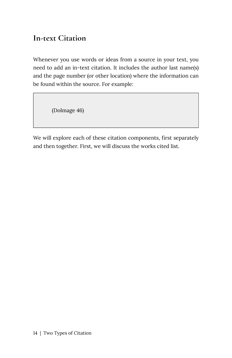#### **In-text Citation**

Whenever you use words or ideas from a source in your text, you need to add an in-text citation. It includes the author last name(s) and the page number (or other location) where the information can be found within the source. For example:

(Dolmage 46)

We will explore each of these citation components, first separately and then together. First, we will discuss the works cited list.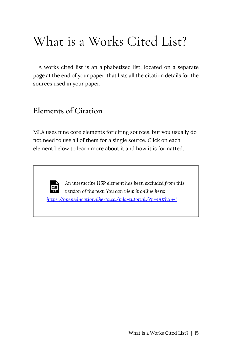## <span id="page-20-0"></span>What is a Works Cited List?

A works cited list is an alphabetized list, located on a separate page at the end of your paper, that lists all the citation details for the sources used in your paper.

#### **Elements of Citation**

MLA uses nine core elements for citing sources, but you usually do not need to use all of them for a single source. Click on each element below to learn more about it and how it is formatted.



*An interactive H5P element has been excluded from this version of the text. You can view it online here: <https://openeducationalberta.ca/mla-tutorial/?p=48#h5p-1>*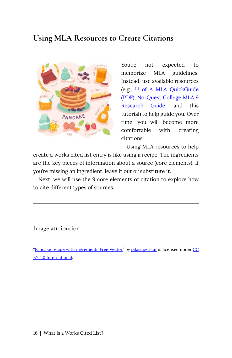#### **Using MLA Resources to Create Citations**



You're not expected to memorize MLA guidelines. Instead, use available resources (e.g., [U of A MLA QuickGuide](https://guides.library.ualberta.ca/ld.php?content_id=15336907) [\(PDF\)](https://guides.library.ualberta.ca/ld.php?content_id=15336907), [NorQuest College MLA 9](https://libguides.norquest.ca/MLA/home) [Research Guide](https://libguides.norquest.ca/MLA/home), and this tutorial) to help guide you. Over time, you will become more comfortable with creating citations.

Using MLA resources to help

create a works cited list entry is like using a recipe. The ingredients are the key pieces of information about a source (core elements). If you're missing an ingredient, leave it out or substitute it.

Next, we will use the 9 core elements of citation to explore how to cite different types of sources.

Image attribution

"[Pancake recipe with ingredients Free Vector](https://www.freepik.com/free-vector/pancake-recipe-with-ingredients_7310084.htm#page=1&query=baking&position=18)" by [pikisuperstar](https://www.freepik.com/pikisuperstar) is licensed under [CC](https://creativecommons.org/licenses/by/4.0/) [BY 4.0 International.](https://creativecommons.org/licenses/by/4.0/)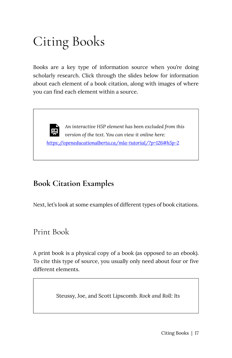# <span id="page-22-0"></span>Citing Books

Books are a key type of information source when you're doing scholarly research. Click through the slides below for information about each element of a book citation, along with images of where you can find each element within a source.

*An interactive H5P element has been excluded from this version of the text. You can view it online here: <https://openeducationalberta.ca/mla-tutorial/?p=126#h5p-2>* 

### **Book Citation Examples**

Next, let's look at some examples of different types of book citations.

Print Book

A print book is a physical copy of a book (as opposed to an ebook). To cite this type of source, you usually only need about four or five different elements.

Steussy, Joe, and Scott Lipscomb. *Rock and Roll: Its*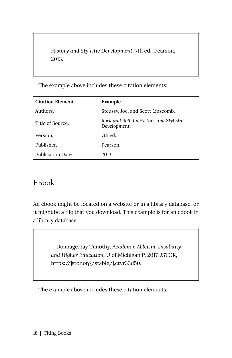*History and Stylistic Development*. 7th ed., Pearson, 2013.

The example above includes these citation elements:

| <b>Citation Element</b> | Example                                                  |
|-------------------------|----------------------------------------------------------|
| Authors.                | Steussy, Joe, and Scott Lipscomb.                        |
| Title of Source.        | Rock and Roll: Its History and Stylistic<br>Development. |
| Version,                | 7th ed.,                                                 |
| Publisher,              | Pearson,                                                 |
| Publication Date.       | 2013.                                                    |

#### EBook

An ebook might be located on a website or in a library database, or it might be a file that you download. This example is for an ebook in a library database.

> Dolmage, Jay Timothy. *Academic Ableism: Disability and Higher Education*. U of Michigan P, 2017. *JSTOR*, https://jstor.org/stable/j.ctvr33d50.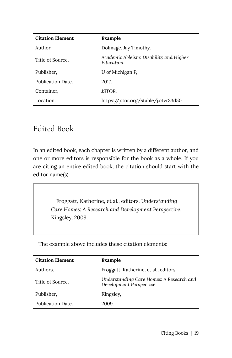| <b>Citation Element</b> | Example                                               |
|-------------------------|-------------------------------------------------------|
| Author.                 | Dolmage, Jay Timothy.                                 |
| Title of Source.        | Academic Ableism: Disability and Higher<br>Education. |
| Publisher,              | U of Michigan P.                                      |
| Publication Date.       | 2017.                                                 |
| Container,              | JSTOR.                                                |
| Location.               | https://jstor.org/stable/j.ctvr33d50.                 |

#### Edited Book

In an edited book, each chapter is written by a different author, and one or more editors is responsible for the book as a whole. If you are citing an entire edited book, the citation should start with the editor name(s).

> Froggatt, Katherine, et al., editors. *Understanding Care Homes: A Research and Development Perspective*. Kingsley, 2009.

| <b>Citation Element</b> | Example                                                              |
|-------------------------|----------------------------------------------------------------------|
| Authors.                | Froggatt, Katherine, et al., editors.                                |
| Title of Source.        | Understanding Care Homes: A Research and<br>Development Perspective. |
| Publisher,              | Kingsley,                                                            |
| Publication Date.       | 2009.                                                                |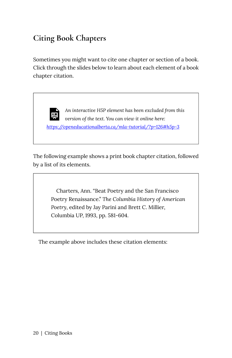### **Citing Book Chapters**

Sometimes you might want to cite one chapter or section of a book. Click through the slides below to learn about each element of a book chapter citation.

> *An interactive H5P element has been excluded from this version of the text. You can view it online here:*

*<https://openeducationalberta.ca/mla-tutorial/?p=126#h5p-3>* 

The following example shows a print book chapter citation, followed by a list of its elements.

> Charters, Ann. "Beat Poetry and the San Francisco Poetry Renaissance." *The Columbia History of American Poetry*, edited by Jay Parini and Brett C. Millier, Columbia UP, 1993, pp. 581-604.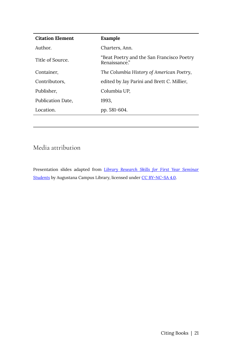| <b>Citation Element</b> | Example                                                    |
|-------------------------|------------------------------------------------------------|
| Author.                 | Charters, Ann.                                             |
| Title of Source.        | "Beat Poetry and the San Francisco Poetry<br>Renaissance." |
| Container,              | The Columbia History of American Poetry,                   |
| Contributors,           | edited by Jay Parini and Brett C. Millier,                 |
| Publisher.              | Columbia UP,                                               |
| Publication Date,       | 1993.                                                      |
| Location.               | pp. 581-604.                                               |
|                         |                                                            |

#### Media attribution

Presentation slides adapted from *[Library Research Skills for First Year Seminar](https://openeducationalberta.ca/auglibfys/)*  **[Students](https://openeducationalberta.ca/auglibfys/)** by Augustana Campus Library, licensed under [CC BY-NC-SA 4.0](https://creativecommons.org/licenses/by-nc-sa/4.0/).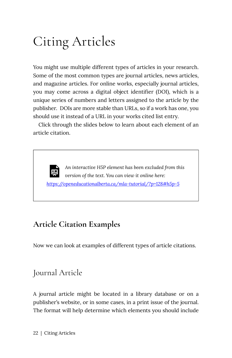# <span id="page-27-0"></span>Citing Articles

You might use multiple different types of articles in your research. Some of the most common types are journal articles, news articles, and magazine articles. For online works, especially journal articles, you may come across a digital object identifier (DOI), which is a unique series of numbers and letters assigned to the article by the publisher. DOIs are more stable than URLs, so if a work has one, you should use it instead of a URL in your works cited list entry.

Click through the slides below to learn about each element of an article citation.

*An interactive H5P element has been excluded from this version of the text. You can view it online here: <https://openeducationalberta.ca/mla-tutorial/?p=128#h5p-5>* 

#### **Article Citation Examples**

Now we can look at examples of different types of article citations.

### Journal Article

A journal article might be located in a library database or on a publisher's website, or in some cases, in a print issue of the journal. The format will help determine which elements you should include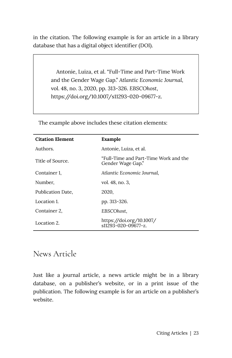in the citation. The following example is for an article in a library database that has a digital object identifier (DOI).

> Antonie, Luiza, et al. "Full-Time and Part-Time Work and the Gender Wage Gap." *Atlantic Economic Journal,*  vol. 48, no. 3, 2020, pp. 313-326. *EBSCOhost*, https://doi.org/10.1007/s11293-020-09677-z.

| <b>Citation Element</b> | Example                                                    |
|-------------------------|------------------------------------------------------------|
| Authors.                | Antonie, Luiza, et al.                                     |
| Title of Source.        | "Full-Time and Part-Time Work and the<br>Gender Wage Gap." |
| Container 1.            | Atlantic Economic Journal,                                 |
| Number,                 | vol. 48, no. 3,                                            |
| Publication Date,       | 2020,                                                      |
| Location 1.             | pp. 313-326.                                               |
| Container 2,            | EBSCOhost,                                                 |
| Location 2.             | https://doi.org/10.1007/<br>$s11293 - 020 - 09677 - z$     |

The example above includes these citation elements:

#### News Article

Just like a journal article, a news article might be in a library database, on a publisher's website, or in a print issue of the publication. The following example is for an article on a publisher's website.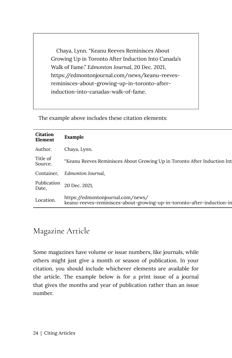Chaya, Lynn. "Keanu Reeves Reminisces About Growing Up in Toronto After Induction Into Canada's Walk of Fame." *Edmonton Journal*, 20 Dec. 2021, https://edmontonjournal.com/news/keanu-reevesreminisces-about-growing-up-in-toronto-afterinduction-into-canadas-walk-of-fame.

The example above includes these citation elements:

| Citation<br>Element  | Example                                                                                                     |
|----------------------|-------------------------------------------------------------------------------------------------------------|
| Author.              | Chaya, Lynn.                                                                                                |
| Title of<br>Source.  | "Keanu Reeves Reminisces About Growing Up in Toronto After Induction Int                                    |
| Container,           | Edmonton Journal,                                                                                           |
| Publication<br>Date, | 20 Dec. 2021.                                                                                               |
| Location.            | https://edmontonjournal.com/news/<br>keanu-reeves-reminisces-about-growing-up-in-toronto-after-induction-in |

#### Magazine Article

Some magazines have volume or issue numbers, like journals, while others might just give a month or season of publication. In your citation, you should include whichever elements are available for the article. The example below is for a print issue of a journal that gives the months and year of publication rather than an issue number.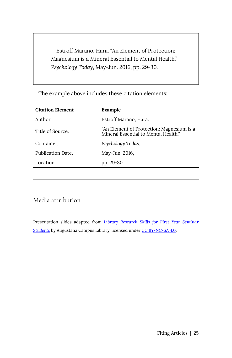Estroff Marano, Hara. "An Element of Protection: Magnesium is a Mineral Essential to Mental Health." *Psychology Today*, May-Jun. 2016, pp. 29-30.

The example above includes these citation elements:

| <b>Citation Element</b> | Example                                                                           |
|-------------------------|-----------------------------------------------------------------------------------|
| Author.                 | Estroff Marano, Hara.                                                             |
| Title of Source.        | "An Element of Protection: Magnesium is a<br>Mineral Essential to Mental Health." |
| Container,              | Psychology Today,                                                                 |
| Publication Date,       | May-Jun. 2016,                                                                    |
| Location.               | pp. 29-30.                                                                        |
|                         |                                                                                   |

Media attribution

Presentation slides adapted from *[Library Research Skills for First Year Seminar](https://openeducationalberta.ca/auglibfys/) [Students](https://openeducationalberta.ca/auglibfys/)* by Augustana Campus Library, licensed under [CC BY-NC-SA 4.0](https://creativecommons.org/licenses/by-nc-sa/4.0/).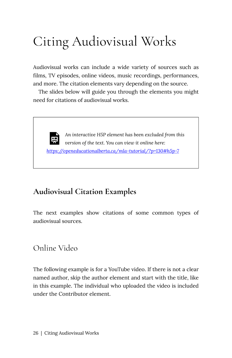# <span id="page-31-0"></span>Citing Audiovisual Works

Audiovisual works can include a wide variety of sources such as films, TV episodes, online videos, music recordings, performances, and more. The citation elements vary depending on the source.

The slides below will guide you through the elements you might need for citations of audiovisual works.

*An interactive H5P element has been excluded from this*  l *version of the text. You can view it online here: <https://openeducationalberta.ca/mla-tutorial/?p=130#h5p-7>*

#### **Audiovisual Citation Examples**

The next examples show citations of some common types of audiovisual sources.

#### Online Video

The following example is for a YouTube video. If there is not a clear named author, skip the author element and start with the title, like in this example. The individual who uploaded the video is included under the Contributor element.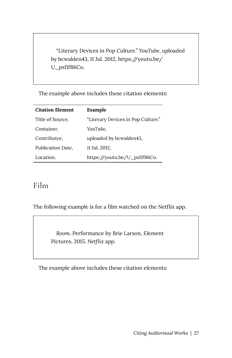"Literary Devices in Pop Culture." *YouTube*, uploaded by bcwalden43, 11 Jul. 2012, https://youtu.be/ U\_pxfifB6Co.

The example above includes these citation elements:

| <b>Citation Element</b> | Example                            |
|-------------------------|------------------------------------|
| Title of Source.        | "Literary Devices in Pop Culture." |
| Container,              | YouTube,                           |
| Contributor,            | uploaded by bcwalden43,            |
| Publication Date,       | 11 Jul. 2012,                      |
| Location.               | https://youtu.be/U_pxfifB6Co.      |

#### Film

The following example is for a film watched on the Netflix app.

*Room*. Performance by Brie Larson, Element Pictures, 2015. *Netflix* app.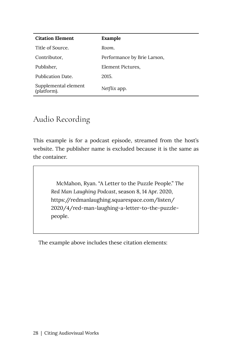| <b>Citation Element</b>             | Example                     |
|-------------------------------------|-----------------------------|
| Title of Source.                    | Room.                       |
| Contributor,                        | Performance by Brie Larson, |
| Publisher,                          | Element Pictures.           |
| Publication Date.                   | 2015.                       |
| Supplemental element<br>(platform). | Netflix app.                |

#### Audio Recording

This example is for a podcast episode, streamed from the host's website. The publisher name is excluded because it is the same as the container.

> McMahon, Ryan. "A Letter to the Puzzle People." *The Red Man Laughing Podcast*, season 8, 14 Apr. 2020, https://redmanlaughing.squarespace.com/listen/ 2020/4/red-man-laughing-a-letter-to-the-puzzlepeople.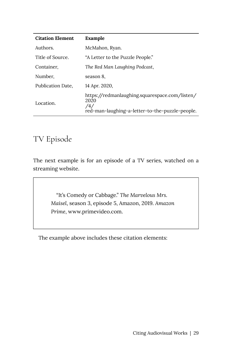| <b>Citation Element</b> | Example                                                                                                                      |
|-------------------------|------------------------------------------------------------------------------------------------------------------------------|
| Authors.                | McMahon, Ryan.                                                                                                               |
| Title of Source.        | "A Letter to the Puzzle People."                                                                                             |
| Container,              | The Red Man Laughing Podcast,                                                                                                |
| Number.                 | season 8,                                                                                                                    |
| Publication Date,       | 14 Apr. 2020,                                                                                                                |
| Location.               | https://redmanlaughing.squarespace.com/listen/<br>2020<br>/4 <sub>1</sub><br>red-man-laughing-a-letter-to-the-puzzle-people. |

### TV Episode

The next example is for an episode of a TV series, watched on a streaming website.

> "It's Comedy or Cabbage." *The Marvelous Mrs. Maisel*, season 3, episode 5, Amazon, 2019. *Amazon Prime*, www.primevideo.com.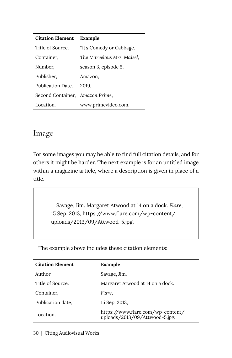#### **Citation Element Example**

| Title of Source.                | "It's Comedy or Cabbage."  |
|---------------------------------|----------------------------|
| Container,                      | The Marvelous Mrs. Maisel, |
| Number,                         | season 3, episode 5,       |
| Publisher,                      | Amazon,                    |
| Publication Date.               | 2019.                      |
| Second Container, Amazon Prime, |                            |
| Location.                       | www.primevideo.com.        |

#### Image

For some images you may be able to find full citation details, and for others it might be harder. The next example is for an untitled image within a magazine article, where a description is given in place of a title.

> Savage, Jim. Margaret Atwood at 14 on a dock. *Flare*, 15 Sep. 2013, https://www.flare.com/wp-content/ uploads/2013/09/Attwood-5.jpg.

| <b>Citation Element</b> | Example                                                             |
|-------------------------|---------------------------------------------------------------------|
| Author.                 | Savage, Jim.                                                        |
| Title of Source.        | Margaret Atwood at 14 on a dock.                                    |
| Container,              | Flare.                                                              |
| Publication date,       | 15 Sep. 2013,                                                       |
| Location.               | https://www.flare.com/wp-content/<br>uploads/2013/09/Attwood-5.jpg. |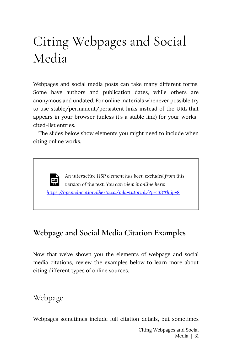## Citing Webpages and Social Media

Webpages and social media posts can take many different forms. Some have authors and publication dates, while others are anonymous and undated. For online materials whenever possible try to use stable/permanent/persistent links instead of the URL that appears in your browser (unless it's a stable link) for your workscited-list entries.

The slides below show elements you might need to include when citing online works.

*An interactive H5P element has been excluded from this version of the text. You can view it online here: <https://openeducationalberta.ca/mla-tutorial/?p=133#h5p-8>*

#### **Webpage and Social Media Citation Examples**

Now that we've shown you the elements of webpage and social media citations, review the examples below to learn more about citing different types of online sources.

Webpage

Webpages sometimes include full citation details, but sometimes

Citing Webpages and Social Media | 31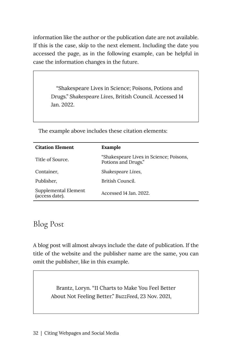information like the author or the publication date are not available. If this is the case, skip to the next element. Including the date you accessed the page, as in the following example, can be helpful in case the information changes in the future.

> "Shakespeare Lives in Science; Poisons, Potions and Drugs." *Shakespeare Lives*, British Council. Accessed 14 Jan. 2022.

| <b>Citation Element</b>                | Example                                                        |
|----------------------------------------|----------------------------------------------------------------|
| Title of Source.                       | "Shakespeare Lives in Science; Poisons,<br>Potions and Drugs." |
| Container,                             | Shakespeare Lives,                                             |
| Publisher,                             | British Council.                                               |
| Supplemental Element<br>(access date). | Accessed 14 Jan. 2022.                                         |

The example above includes these citation elements:

#### Blog Post

A blog post will almost always include the date of publication. If the title of the website and the publisher name are the same, you can omit the publisher, like in this example.

> Brantz, Loryn. "11 Charts to Make You Feel Better About Not Feeling Better." *BuzzFeed*, 23 Nov. 2021,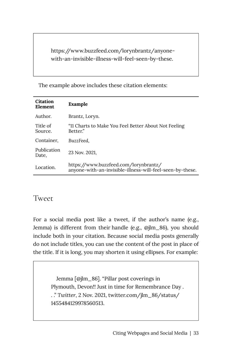https://www.buzzfeed.com/lorynbrantz/anyonewith-an-invisible-illness-will-feel-seen-by-these.

The example above includes these citation elements:

| Citation<br>Element  | Example                                                                                            |
|----------------------|----------------------------------------------------------------------------------------------------|
| Author.              | Brantz, Loryn.                                                                                     |
| Title of<br>Source.  | "11 Charts to Make You Feel Better About Not Feeling<br>Better."                                   |
| Container,           | BuzzFeed.                                                                                          |
| Publication<br>Date, | 23 Nov. 2021.                                                                                      |
| Location.            | https://www.buzzfeed.com/lorynbrantz/<br>anyone-with-an-invisible-illness-will-feel-seen-by-these. |

#### Tweet

For a social media post like a tweet, if the author's name (e.g., Jemma) is different from their handle (e.g., @jlm\_86), you should include both in your citation. Because social media posts generally do not include titles, you can use the content of the post in place of the title. If it is long, you may shorten it using ellipses. For example:

> Jemma [@jlm\_86]. "Pillar post coverings in Plymouth, Devon!! Just in time for Remembrance Day . . ." *Twitter*, 2 Nov. 2021, twitter.com/jlm\_86/status/ 1455484129978560513.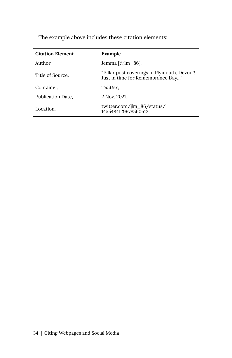| <b>Citation Element</b> | Example                                                                           |
|-------------------------|-----------------------------------------------------------------------------------|
| Author.                 | Jemma $\lceil \omega \rceil$ m $\lfloor 86 \rceil$ .                              |
| Title of Source.        | "Pillar post coverings in Plymouth, Devon!!"<br>Just in time for Remembrance Day" |
| Container,              | Twitter,                                                                          |
| Publication Date,       | 2 Nov. 2021.                                                                      |
| Location.               | twitter.com/jlm_86/status/<br>1455484129978560513.                                |

The example above includes these citation elements: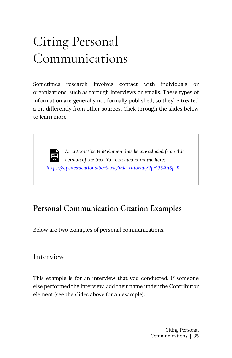## Citing Personal Communications

Sometimes research involves contact with individuals or organizations, such as through interviews or emails. These types of information are generally not formally published, so they're treated a bit differently from other sources. Click through the slides below to learn more.

*An interactive H5P element has been excluded from this*  ١Ħ *version of the text. You can view it online here: <https://openeducationalberta.ca/mla-tutorial/?p=135#h5p-9>* 

#### **Personal Communication Citation Examples**

Below are two examples of personal communications.

#### Interview

This example is for an interview that you conducted. If someone else performed the interview, add their name under the Contributor element (see the slides above for an example).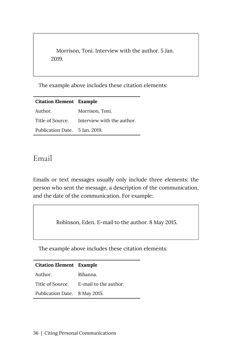Morrison, Toni. Interview with the author. 5 Jan. 2019.

The example above includes these citation elements:

| <b>Citation Element</b> Example |                                             |
|---------------------------------|---------------------------------------------|
| Author.                         | Morrison, Toni.                             |
|                                 | Title of Source. Interview with the author. |
| Publication Date. 5 Jan. 2019.  |                                             |

#### Email

Emails or text messages usually only include three elements: the person who sent the message, a description of the communication, and the date of the communication. For example:

Robinson, Eden. E-mail to the author. 8 May 2015.

The example above includes these citation elements:

| <b>Citation Element</b> Example |                                        |
|---------------------------------|----------------------------------------|
| Author.                         | Rihanna.                               |
|                                 | Title of Source. E-mail to the author. |
| Publication Date. 8 May 2015.   |                                        |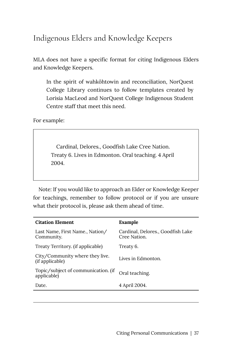### Indigenous Elders and Knowledge Keepers

MLA does not have a specific format for citing Indigenous Elders and Knowledge Keepers.

In the spirit of wahkôhtowin and reconciliation, NorQuest College Library continues to follow templates created by Lorisia MacLeod and NorQuest College Indigenous Student Centre staff that meet this need.

For example:

Cardinal, Delores., Goodfish Lake Cree Nation. Treaty 6. Lives in Edmonton. Oral teaching. 4 April 2004.

Note: If you would like to approach an Elder or Knowledge Keeper for teachings, remember to follow protocol or if you are unsure what their protocol is, please ask them ahead of time.

| <b>Citation Element</b>                            | Example                                           |
|----------------------------------------------------|---------------------------------------------------|
| Last Name, First Name., Nation/<br>Community.      | Cardinal, Delores., Goodfish Lake<br>Cree Nation. |
| Treaty Territory. (if applicable)                  | Treaty 6.                                         |
| City/Community where they live.<br>(if applicable) | Lives in Edmonton.                                |
| Topic/subject of communication. (if<br>applicable) | Oral teaching.                                    |
| Date.                                              | 4 April 2004.                                     |
|                                                    |                                                   |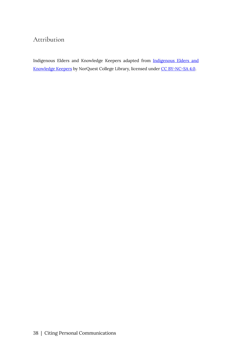#### Attribution

[Indigenous Elders and](https://libguides.norquest.ca/apa/style#NoteRE:Elders) Knowledge Keepers adapted from **Indigenous Elders and** [Knowledge Keepers](https://libguides.norquest.ca/apa/style#NoteRE:Elders) by NorQuest College Library, licensed under [CC BY-NC-SA 4.0.](https://creativecommons.org/licenses/by-nc-sa/4.0/)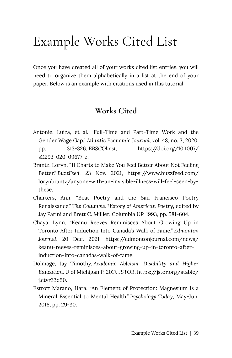### Example Works Cited List

Once you have created all of your works cited list entries, you will need to organize them alphabetically in a list at the end of your paper. Below is an example with citations used in this tutorial.

#### **Works Cited**

- Antonie, Luiza, et al. "Full-Time and Part-Time Work and the Gender Wage Gap." *Atlantic Economic Journal,* vol. 48, no. 3, 2020, pp. 313-326. *EBSCOhost*, https://doi.org/10.1007/ s11293-020-09677-z.
- Brantz, Loryn. "11 Charts to Make You Feel Better About Not Feeling Better." *BuzzFeed*, 23 Nov. 2021, https://www.buzzfeed.com/ lorynbrantz/anyone-with-an-invisible-illness-will-feel-seen-bythese.
- Charters, Ann. "Beat Poetry and the San Francisco Poetry Renaissance." *The Columbia History of American Poetry*, edited by Jay Parini and Brett C. Millier, Columbia UP, 1993, pp. 581-604.
- Chaya, Lynn. "Keanu Reeves Reminisces About Growing Up in Toronto After Induction Into Canada's Walk of Fame." *Edmonton Journal*, 20 Dec. 2021, https://edmontonjournal.com/news/ keanu-reeves-reminisces-about-growing-up-in-toronto-afterinduction-into-canadas-walk-of-fame.
- Dolmage, Jay Timothy. *Academic Ableism: Disability and Higher Education*. U of Michigan P, 2017. *JSTOR*, https://jstor.org/stable/ j.ctvr33d50.
- Estroff Marano, Hara. "An Element of Protection: Magnesium is a Mineral Essential to Mental Health." *Psychology Today*, May-Jun. 2016, pp. 29-30.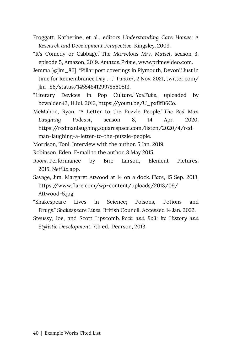- Froggatt, Katherine, et al., editors. *Understanding Care Homes: A Research and Development Perspective*. Kingsley, 2009.
- "It's Comedy or Cabbage." *The Marvelous Mrs. Maisel*, season 3, episode 5, Amazon, 2019. *Amazon Prime*, www.primevideo.com.
- Jemma [@jlm\_86]. "Pillar post coverings in Plymouth, Devon!! Just in time for Remembrance Day . . ." *Twitter*, 2 Nov. 2021, twitter.com/ jlm\_86/status/1455484129978560513.
- "Literary Devices in Pop Culture." *YouTube*, uploaded by bcwalden43, 11 Jul. 2012, https://youtu.be/U\_pxfifB6Co.
- McMahon, Ryan. "A Letter to the Puzzle People." *The Red Man Laughing Podcast*, season 8, 14 Apr. 2020, https://redmanlaughing.squarespace.com/listen/2020/4/redman-laughing-a-letter-to-the-puzzle-people.

Morrison, Toni. Interview with the author. 5 Jan. 2019.

Robinson, Eden. E-mail to the author. 8 May 2015.

- *Room*. Performance by Brie Larson, Element Pictures, 2015. *Netflix* app.
- Savage, Jim. Margaret Atwood at 14 on a dock. *Flare*, 15 Sep. 2013, https://www.flare.com/wp-content/uploads/2013/09/ Attwood-5.jpg.
- "Shakespeare Lives in Science; Poisons, Potions and Drugs." *Shakespeare Lives*, British Council. Accessed 14 Jan. 2022.
- Steussy, Joe, and Scott Lipscomb. *Rock and Roll: Its History and Stylistic Development*. 7th ed., Pearson, 2013.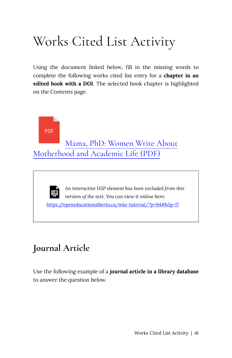# Works Cited List Activity

Using the document linked below, fill in the missing words to complete the following works cited list entry for a **chapter in an edited book with a DOI**. The selected book chapter is highlighted on the Contents page.



*<https://openeducationalberta.ca/mla-tutorial/?p=64#h5p-17>*

### **Journal Article**

Use the following example of a **journal article in a library database**  to answer the question below.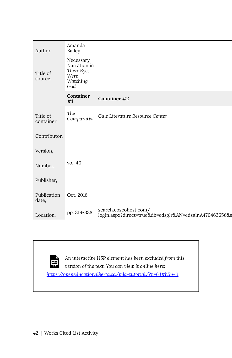| Author.                | Amanda<br>Bailey                                                   |                                                                                  |
|------------------------|--------------------------------------------------------------------|----------------------------------------------------------------------------------|
| Title of<br>source.    | Necessary<br>Narration in<br>Their Eyes<br>Were<br>Watching<br>God |                                                                                  |
|                        | Container<br>#1                                                    | <b>Container #2</b>                                                              |
| Title of<br>container, | The<br>Comparatist                                                 | Gale Literature Resource Center                                                  |
| Contributor,           |                                                                    |                                                                                  |
| Version,               |                                                                    |                                                                                  |
| Number,                | vol. $40$                                                          |                                                                                  |
| Publisher,             |                                                                    |                                                                                  |
| Publication<br>date,   | Oct. 2016                                                          |                                                                                  |
| Location.              | pp. 319-338                                                        | search.ebscohost.com/<br>login.aspx?direct=true&db=edsglr&AN=edsglr.A470463656&s |

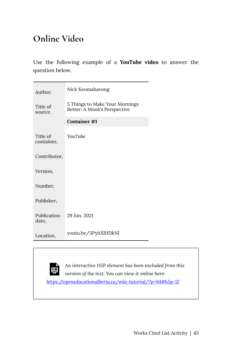### **Online Video**

Use the following example of a **YouTube video** to answer the question below.

| Author.                | Nick Keomahavong                                               |
|------------------------|----------------------------------------------------------------|
| Title of<br>source.    | 5 Things to Make Your Mornings<br>Better: A Monk's Perspective |
|                        | Container #1                                                   |
| Title of<br>container, | <b>YouTube</b>                                                 |
| Contributor,           |                                                                |
| Version,               |                                                                |
| Number,                |                                                                |
| Publisher,             |                                                                |
| Publication<br>date,   | 29 Jun. 2021                                                   |
| Location.              | youtu.be/3PyhXlHDkNI                                           |

白<br>宋

*An interactive H5P element has been excluded from this version of the text. You can view it online here: <https://openeducationalberta.ca/mla-tutorial/?p=64#h5p-12>*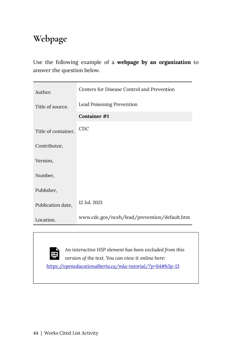### **Webpage**

Use the following example of a **webpage by an organization** to answer the question below.

| Author.             | Centers for Disease Control and Prevention   |  |
|---------------------|----------------------------------------------|--|
| Title of source.    | Lead Poisoning Prevention                    |  |
|                     | Container #1                                 |  |
| Title of container, | <b>CDC</b>                                   |  |
| Contributor,        |                                              |  |
| Version,            |                                              |  |
| Number,             |                                              |  |
| Publisher,          |                                              |  |
| Publication date,   | 12 Jul. 2021                                 |  |
| Location.           | www.cdc.gov/nceh/lead/prevention/default.htm |  |

*An interactive H5P element has been excluded from this version of the text. You can view it online here:* 

*<https://openeducationalberta.ca/mla-tutorial/?p=64#h5p-13>* 

<u>नि</u>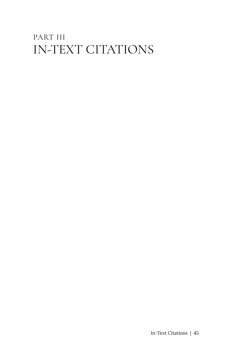### PART III IN-TEXT CITATIONS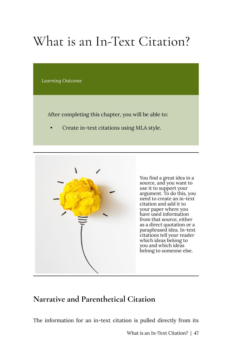## What is an In-Text Citation?

*Learning Outcome* 

After completing this chapter, you will be able to:

• Create in-text citations using MLA style.



You find a great idea in a source, and you want to use it to support your argument. To do this, you need to create an in-text citation and add it to your paper where you have used information from that source, either as a direct quotation or a paraphrased idea. In-text citations tell your reader which ideas belong to you and which ideas belong to someone else.

#### **Narrative and Parenthetical Citation**

The information for an in-text citation is pulled directly from its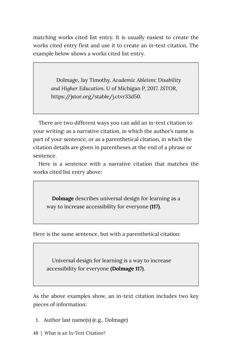matching works cited list entry. It is usually easiest to create the works cited entry first and use it to create an in-text citation. The example below shows a works cited list entry.

> Dolmage, Jay Timothy. *Academic Ableism: Disability and Higher Education*. U of Michigan P, 2017. *JSTOR*, https://jstor.org/stable/j.ctvr33d50.

There are two different ways you can add an in-text citation to your writing: as a narrative citation, in which the author's name is part of your sentence, or as a parenthetical citation, in which the citation details are given in parentheses at the end of a phrase or sentence.

Here is a sentence with a narrative citation that matches the works cited list entry above:

**Dolmage** describes universal design for learning as a way to increase accessibility for everyone **(117)**.

Here is the same sentence, but with a parenthetical citation:

Universal design for learning is a way to increase accessibility for everyone **(Dolmage 117)**.

As the above examples show, an in-text citation includes two key pieces of information:

- 1. Author last name(s) (e.g., Dolmage)
- 48 | What is an In-Text Citation?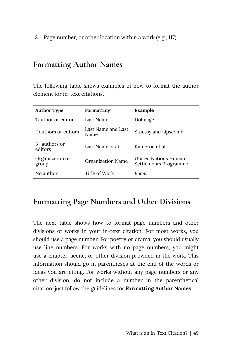2. Page number, or other location within a work (e.g., 117)

#### **Formatting Author Names**

The following table shows examples of how to format the author element for in-text citations.

| <b>Author Type</b>         | Formatting                 | Example                                       |
|----------------------------|----------------------------|-----------------------------------------------|
| 1 author or editor         | Last Name                  | Dolmage                                       |
| 2 authors or editors       | Last Name and Last<br>Name | Stuessy and Lipscomb                          |
| $3+$ authors or<br>editors | Last Name et al.           | Kameron et al.                                |
| Organization or<br>group   | Organization Name          | United Nations Human<br>Settlements Programme |
| No author                  | Title of Work              | Room.                                         |

#### **Formatting Page Numbers and Other Divisions**

The next table shows how to format page numbers and other divisions of works in your in-text citation. For most works, you should use a page number. For poetry or drama, you should usually use line numbers. For works with no page numbers, you might use a chapter, scene, or other division provided in the work. This information should go in parentheses at the end of the words or ideas you are citing. For works without any page numbers or any other division, do not include a number in the parenthetical citation; just follow the guidelines for **Formatting Author Names**.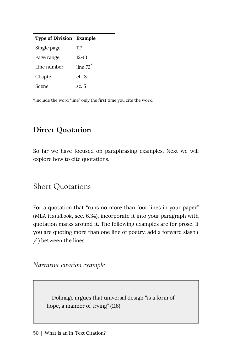| <b>Type of Division</b> | Example     |
|-------------------------|-------------|
| Single page             | 117         |
| Page range              | 12-13       |
| Line number             | line $72^*$ |
| Chapter                 | ch. 3       |
| Scene                   | sc. 5       |

\*Include the word "line" only the first time you cite the work.

#### **Direct Quotation**

So far we have focused on paraphrasing examples. Next we will explore how to cite quotations.

#### Short Quotations

For a quotation that "runs no more than four lines in your paper" (*MLA Handbook*, sec. 6.34), incorporate it into your paragraph with quotation marks around it. The following examples are for prose. If you are quoting more than one line of poetry, add a forward slash ( / ) between the lines.

*Narrative citation example* 

Dolmage argues that universal design "is a form of hope, a manner of trying" (116).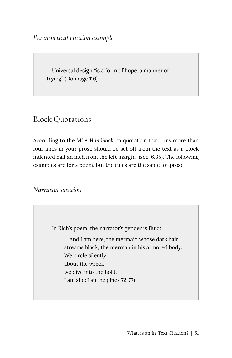Universal design "is a form of hope, a manner of trying" (Dolmage 116).

#### Block Quotations

According to the *MLA Handbook*, "a quotation that runs more than four lines in your prose should be set off from the text as a block indented half an inch from the left margin" (sec. 6.35). The following examples are for a poem, but the rules are the same for prose.

*Narrative citation* 

In Rich's poem, the narrator's gender is fluid:

And I am here, the mermaid whose dark hair streams black, the merman in his armored body. We circle silently about the wreck we dive into the hold. I am she: I am he (lines 72-77)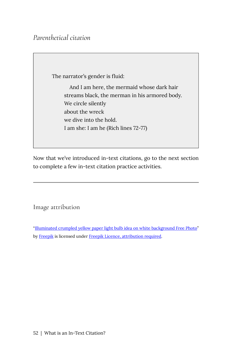#### *Parenthetical citation*

The narrator's gender is fluid:

And I am here, the mermaid whose dark hair streams black, the merman in his armored body. We circle silently about the wreck we dive into the hold. I am she: I am he (Rich lines 72-77)

Now that we've introduced in-text citations, go to the next section to complete a few in-text citation practice activities.

Image attribution

"[Illuminated crumpled yellow paper light bulb idea on white background Free Photo"](https://www.freepik.com/free-photo/illuminated-crumpled-yellow-paper-light-bulb-idea-white-background_2983070.htm#page=1&query=lightbulb%20idea%20paper&position=0) by [Freepik](https://www.freepik.com/freepik) is licensed under [Freepik Licence, attribution required](https://www.freepikcompany.com/legal#nav-freepik).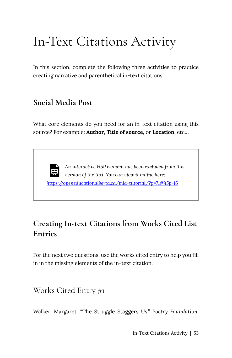### In-Text Citations Activity

In this section, complete the following three activities to practice creating narrative and parenthetical in-text citations.

#### **Social Media Post**

What core elements do you need for an in-text citation using this source? For example: **Author**, **Title of source**, or **Location**, etc…

*An interactive H5P element has been excluded from this version of the text. You can view it online here: <https://openeducationalberta.ca/mla-tutorial/?p=71#h5p-16>*

#### **Creating In-text Citations from Works Cited List Entries**

For the next two questions, use the works cited entry to help you fill in in the missing elements of the in-text citation.

Works Cited Entry #1

Walker, Margaret. "The Struggle Staggers Us." *Poetry Foundation,*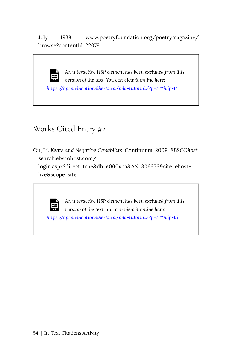July 1938, www.poetryfoundation.org/poetrymagazine/ browse?contentId=22079.

*An interactive H5P element has been excluded from this*  厚 *version of the text. You can view it online here: <https://openeducationalberta.ca/mla-tutorial/?p=71#h5p-14>*

#### Works Cited Entry #2

Ou, Li. *Keats and Negative Capability.* Continuum, 2009. *EBSCOhost,* search.ebscohost.com/ login.aspx?direct=true&db=e000xna&AN=306656&site=ehostlive&scope=site.



*An interactive H5P element has been excluded from this version of the text. You can view it online here: <https://openeducationalberta.ca/mla-tutorial/?p=71#h5p-15>*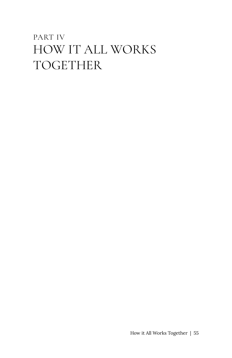### PART IV HOW IT ALL WORKS TOGETHER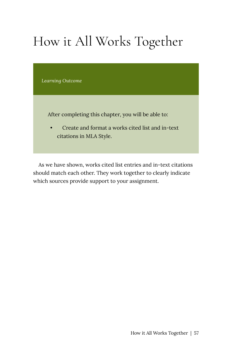# How it All Works Together

*Learning Outcome* 

After completing this chapter, you will be able to:

• Create and format a works cited list and in-text citations in MLA Style.

As we have shown, works cited list entries and in-text citations should match each other. They work together to clearly indicate which sources provide support to your assignment.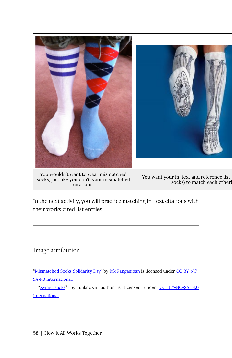

You wouldn't want to wear mismatched socks, just like you don't want mismatched citations!

You want your in-text and reference list socks) to match each other!

In the next activity, you will practice matching in-text citations with their works cited list entries.

Image attribution

"[Mismatched Socks Solidarity Day](https://www.flickr.com/photos/rikomatic/5610683006/in/photostream/)" by [Rik Panganiban](https://www.flickr.com/photos/rikomatic/) is licensed under [CC BY-NC-](https://creativecommons.org/licenses/by-nc-sa/4.0/)[SA 4.0 International.](https://creativecommons.org/licenses/by-nc-sa/4.0/)

"[X-ray socks"](https://www.crookedbrains.net/2010/08/cool-creative-socks.html) by unknown author is licensed under [CC BY-NC-SA 4.0](https://creativecommons.org/licenses/by-nc-sa/4.0/) [International](https://creativecommons.org/licenses/by-nc-sa/4.0/).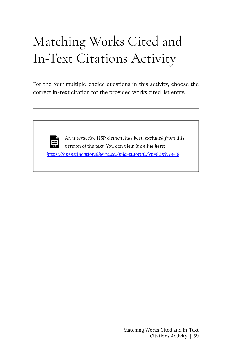# Matching Works Cited and In-Text Citations Activity

For the four multiple-choice questions in this activity, choose the correct in-text citation for the provided works cited list entry.

*An interactive H5P element has been excluded from this*   $\equiv$ *version of the text. You can view it online here: <https://openeducationalberta.ca/mla-tutorial/?p=82#h5p-18>*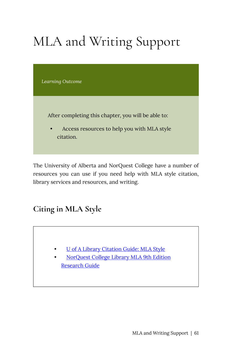# MLA and Writing Support

*Learning Outcome* 

After completing this chapter, you will be able to:

• Access resources to help you with MLA style citation.

The University of Alberta and NorQuest College have a number of resources you can use if you need help with MLA style citation, library services and resources, and writing.

**Citing in MLA Style** 

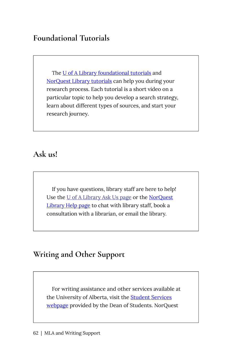#### **Foundational Tutorials**

The [U of A Library foundational tutorials](https://www.library.ualberta.ca/tutorials/foundational) and [NorQuest Library tutorials](https://libguides.norquest.ca/tutorials) can help you during your research process. Each tutorial is a short video on a particular topic to help you develop a search strategy, learn about different types of sources, and start your research journey.

#### **Ask us!**

If you have questions, library staff are here to help! Use the [U of A Library Ask Us page](https://www.library.ualberta.ca/ask-us/) or the [NorQuest](https://library.norquest.ca/help.aspx) [Library Help page](https://library.norquest.ca/help.aspx) to chat with library staff, book a consultation with a librarian, or email the library.

#### **Writing and Other Support**

For writing assistance and other services available at the University of Alberta, visit the **[Student Services](https://www.ualberta.ca/dean-of-students/portfolio/index.html)** [webpage](https://www.ualberta.ca/dean-of-students/portfolio/index.html) provided by the Dean of Students. NorQuest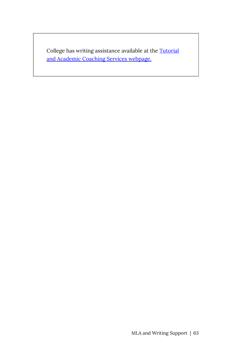College has writing assistance available at the [Tutorial](https://www.norquest.ca/tutor)  [and Academic Coaching Services webpage.](https://www.norquest.ca/tutor)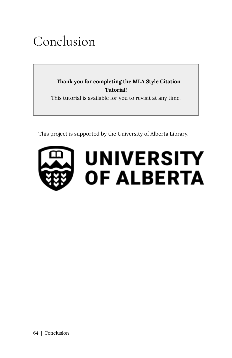### Conclusion

**Thank you for completing the MLA Style Citation Tutorial!**  This tutorial is available for you to revisit at any time.

This project is supported by the University of Alberta Library.

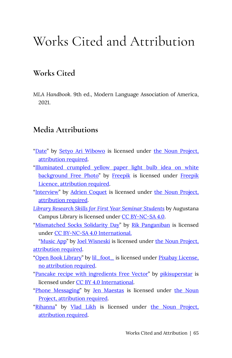### Works Cited and Attribution

#### **Works Cited**

*MLA Handbook*. 9th ed., Modern Language Association of America, 2021.

#### **Media Attributions**

- ["Date"](https://thenounproject.com/term/date/1135486/) by [Setyo Ari Wibowo](https://thenounproject.com/seochan.art/) is licensed under [the Noun Project,](https://thenounproject.zendesk.com/hc/en-us/articles/200509928-How-do-I-give-creators-credit-in-my-work-) [attribution required](https://thenounproject.zendesk.com/hc/en-us/articles/200509928-How-do-I-give-creators-credit-in-my-work-).
- ["Illuminated crumpled yellow paper light bulb idea on white](https://www.freepik.com/free-photo/illuminated-crumpled-yellow-paper-light-bulb-idea-white-background_2983070.htm#page=1&query=lightbulb%20idea%20paper&position=0) [background Free Photo](https://www.freepik.com/free-photo/illuminated-crumpled-yellow-paper-light-bulb-idea-white-background_2983070.htm#page=1&query=lightbulb%20idea%20paper&position=0)" by [Freepik](https://www.freepikcompany.com/legal#nav-freepik) is licensed under Freepik [Licence, attribution required](https://www.freepikcompany.com/legal#nav-freepik).
- ["Interview](https://thenounproject.com/term/interview/2941942/)" by [Adrien Coquet](https://thenounproject.com/coquet_adrien/) is licensed under [the Noun Project,](https://thenounproject.zendesk.com/hc/en-us/articles/200509928-How-do-I-give-creators-credit-in-my-work-) [attribution required](https://thenounproject.zendesk.com/hc/en-us/articles/200509928-How-do-I-give-creators-credit-in-my-work-).
- *[Library Research Skills for First Year Seminar Students](https://openeducationalberta.ca/auglibfys/)* by Augustana Campus Library is licensed under [CC BY-NC-SA 4.0.](https://creativecommons.org/licenses/by-nc-sa/4.0/)
- ["Mismatched Socks Solidarity Day"](https://www.flickr.com/photos/rikomatic/5610683006/in/photostream/) by [Rik Panganiban](https://www.flickr.com/photos/rikomatic/) is licensed under [CC BY-NC-SA 4.0 International.](https://creativecommons.org/licenses/by-nc-sa/4.0/)

["Music App"](https://thenounproject.com/icon/music-app-1041410/) by [Joel Wisneski](https://thenounproject.com/joelski/) is licensed under [the Noun Project,](https://thenounproject.zendesk.com/hc/en-us/articles/200509928-How-do-I-give-creators-credit-in-my-work-) [attribution required](https://thenounproject.zendesk.com/hc/en-us/articles/200509928-How-do-I-give-creators-credit-in-my-work-).

- ["Open Book Library](https://pixabay.com/photos/open-book-library-education-read-1428428/)" by [lil\\_foot\\_](https://pixabay.com/users/lil_foot_-2672923/) is licensed under [Pixabay License,](https://pixabay.com/service/license/) [no attribution required.](https://pixabay.com/service/license/)
- ["Pancake recipe with ingredients Free Vector"](https://www.freepik.com/free-vector/pancake-recipe-with-ingredients_7310084.htm#page=1&query=baking&position=18) by [pikisuperstar](https://www.freepik.com/pikisuperstar) is licensed under [CC BY 4.0 International.](https://creativecommons.org/licenses/by/4.0/)
- ["Phone Messaging"](https://thenounproject.com/term/phone-messaging/93582/) by [Jen Maestas](https://thenounproject.com/jencozy/) is licensed under [the Noun](https://thenounproject.zendesk.com/hc/en-us/articles/200509928-How-do-I-give-creators-credit-in-my-work-) [Project, attribution required.](https://thenounproject.zendesk.com/hc/en-us/articles/200509928-How-do-I-give-creators-credit-in-my-work-)
- ["Rihanna](https://thenounproject.com/search/?q=rihanna&i=21657)" by [Vlad Likh](https://thenounproject.com/likh.v/) is licensed under [the Noun Project,](https://thenounproject.zendesk.com/hc/en-us/articles/200509928-How-do-I-give-creators-credit-in-my-work-) [attribution required](https://thenounproject.zendesk.com/hc/en-us/articles/200509928-How-do-I-give-creators-credit-in-my-work-).